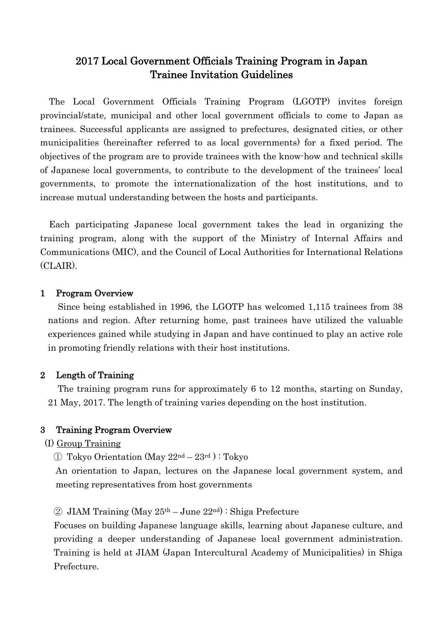# 2017 Local Government Officials Training Program in Japan Trainee Invitation Guidelines

The Local Government Officials Training Program (LGOTP) invites foreign provincial/state, municipal and other local government officials to come to Japan as trainees. Successful applicants are assigned to prefectures, designated cities, or other municipalities (hereinafter referred to as local governments) for a fixed period. The objectives of the program are to provide trainees with the know-how and technical skills of Japanese local governments, to contribute to the development of the trainees' local governments, to promote the internationalization of the host institutions, and to increase mutual understanding between the hosts and participants.

Each participating Japanese local government takes the lead in organizing the training program, along with the support of the Ministry of Internal Affairs and Communications (MIC), and the Council of Local Authorities for International Relations (CLAIR).

## 1 Program Overview

Since being established in 1996, the LGOTP has welcomed 1,115 trainees from 38 nations and region. After returning home, past trainees have utilized the valuable experiences gained while studying in Japan and have continued to play an active role in promoting friendly relations with their host institutions.

## 2 Length of Training

The training program runs for approximately 6 to 12 months, starting on Sunday, 21 May, 2017. The length of training varies depending on the host institution.

## 3 Training Program Overview

(I) Group Training

 $\Omega$  Tokyo Orientation (May 22<sup>nd</sup> – 23<sup>rd</sup>): Tokyo

An orientation to Japan, lectures on the Japanese local government system, and meeting representatives from host governments

## $\textcircled{2}$  JIAM Training (May 25<sup>th</sup> – June 22<sup>nd</sup>) : Shiga Prefecture

Focuses on building Japanese language skills, learning about Japanese culture, and providing a deeper understanding of Japanese local government administration. Training is held at JIAM (Japan Intercultural Academy of Municipalities) in Shiga Prefecture.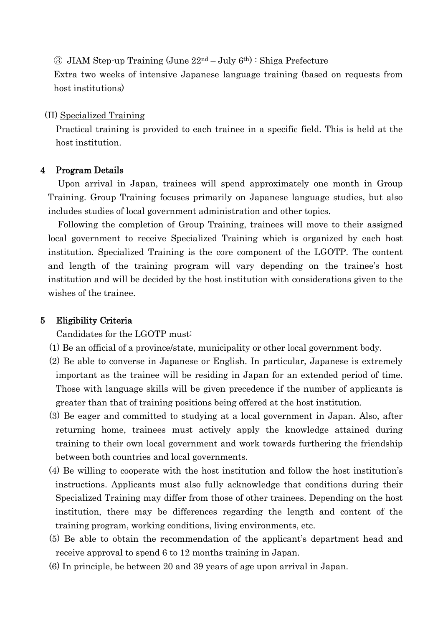③ JIAM Step-up Training (June 22nd – July 6th) : Shiga Prefecture

Extra two weeks of intensive Japanese language training (based on requests from host institutions)

#### (II) Specialized Training

Practical training is provided to each trainee in a specific field. This is held at the host institution.

#### 4 Program Details

Upon arrival in Japan, trainees will spend approximately one month in Group Training. Group Training focuses primarily on Japanese language studies, but also includes studies of local government administration and other topics.

Following the completion of Group Training, trainees will move to their assigned local government to receive Specialized Training which is organized by each host institution. Specialized Training is the core component of the LGOTP. The content and length of the training program will vary depending on the trainee's host institution and will be decided by the host institution with considerations given to the wishes of the trainee.

## 5 Eligibility Criteria

Candidates for the LGOTP must:

- (1) Be an official of a province/state, municipality or other local government body.
- (2) Be able to converse in Japanese or English. In particular, Japanese is extremely important as the trainee will be residing in Japan for an extended period of time. Those with language skills will be given precedence if the number of applicants is greater than that of training positions being offered at the host institution.
- (3) Be eager and committed to studying at a local government in Japan. Also, after returning home, trainees must actively apply the knowledge attained during training to their own local government and work towards furthering the friendship between both countries and local governments.
- (4) Be willing to cooperate with the host institution and follow the host institution's instructions. Applicants must also fully acknowledge that conditions during their Specialized Training may differ from those of other trainees. Depending on the host institution, there may be differences regarding the length and content of the training program, working conditions, living environments, etc.
- (5) Be able to obtain the recommendation of the applicant's department head and receive approval to spend 6 to 12 months training in Japan.
- (6) In principle, be between 20 and 39 years of age upon arrival in Japan.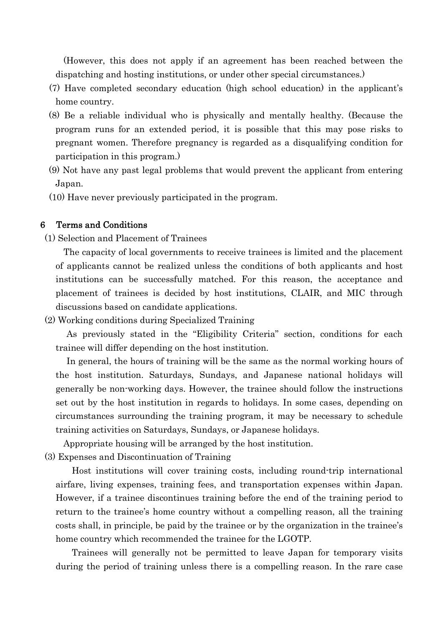(However, this does not apply if an agreement has been reached between the dispatching and hosting institutions, or under other special circumstances.)

- (7) Have completed secondary education (high school education) in the applicant's home country.
- (8) Be a reliable individual who is physically and mentally healthy. (Because the program runs for an extended period, it is possible that this may pose risks to pregnant women. Therefore pregnancy is regarded as a disqualifying condition for participation in this program.)
- (9) Not have any past legal problems that would prevent the applicant from entering Japan.
- (10) Have never previously participated in the program.

#### 6 Terms and Conditions

(1) Selection and Placement of Trainees

The capacity of local governments to receive trainees is limited and the placement of applicants cannot be realized unless the conditions of both applicants and host institutions can be successfully matched. For this reason, the acceptance and placement of trainees is decided by host institutions, CLAIR, and MIC through discussions based on candidate applications.

(2) Working conditions during Specialized Training

As previously stated in the "Eligibility Criteria" section, conditions for each trainee will differ depending on the host institution.

In general, the hours of training will be the same as the normal working hours of the host institution. Saturdays, Sundays, and Japanese national holidays will generally be non-working days. However, the trainee should follow the instructions set out by the host institution in regards to holidays. In some cases, depending on circumstances surrounding the training program, it may be necessary to schedule training activities on Saturdays, Sundays, or Japanese holidays.

Appropriate housing will be arranged by the host institution.

(3) Expenses and Discontinuation of Training

Host institutions will cover training costs, including round-trip international airfare, living expenses, training fees, and transportation expenses within Japan. However, if a trainee discontinues training before the end of the training period to return to the trainee's home country without a compelling reason, all the training costs shall, in principle, be paid by the trainee or by the organization in the trainee's home country which recommended the trainee for the LGOTP.

Trainees will generally not be permitted to leave Japan for temporary visits during the period of training unless there is a compelling reason. In the rare case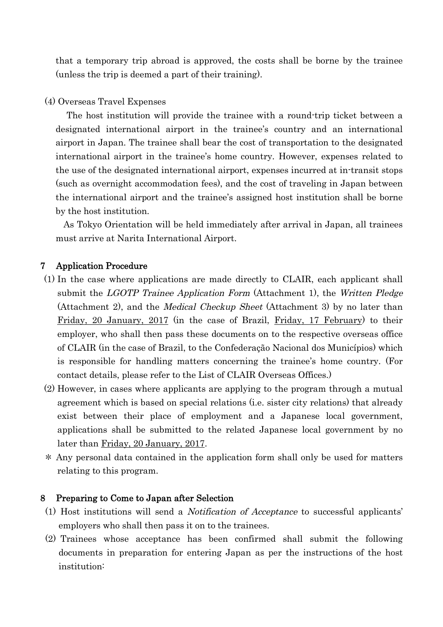that a temporary trip abroad is approved, the costs shall be borne by the trainee (unless the trip is deemed a part of their training).

# (4) Overseas Travel Expenses

The host institution will provide the trainee with a round-trip ticket between a designated international airport in the trainee's country and an international airport in Japan. The trainee shall bear the cost of transportation to the designated international airport in the trainee's home country. However, expenses related to the use of the designated international airport, expenses incurred at in-transit stops (such as overnight accommodation fees), and the cost of traveling in Japan between the international airport and the trainee's assigned host institution shall be borne by the host institution.

As Tokyo Orientation will be held immediately after arrival in Japan, all trainees must arrive at Narita International Airport.

# 7 Application Procedure

- (1) In the case where applications are made directly to CLAIR, each applicant shall submit the *LGOTP Trainee Application Form* (Attachment 1), the *Written Pledge* (Attachment 2), and the Medical Checkup Sheet (Attachment 3) by no later than Friday, 20 January, 2017 (in the case of Brazil, Friday, 17 February) to their employer, who shall then pass these documents on to the respective overseas office of CLAIR (in the case of Brazil, to the Confederação Nacional dos Municípios) which is responsible for handling matters concerning the trainee's home country. (For contact details, please refer to the List of CLAIR Overseas Offices.)
- (2) However, in cases where applicants are applying to the program through a mutual agreement which is based on special relations (i.e. sister city relations) that already exist between their place of employment and a Japanese local government, applications shall be submitted to the related Japanese local government by no later than Friday, 20 January, 2017.
- \* Any personal data contained in the application form shall only be used for matters relating to this program.

# 8 Preparing to Come to Japan after Selection

- (1) Host institutions will send a Notification of Acceptance to successful applicants' employers who shall then pass it on to the trainees.
- (2) Trainees whose acceptance has been confirmed shall submit the following documents in preparation for entering Japan as per the instructions of the host institution: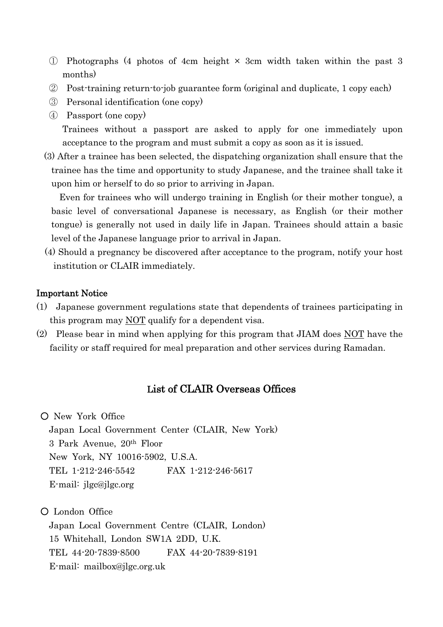- ① Photographs (4 photos of 4cm height × 3cm width taken within the past 3 months)
- ② Post-training return-to-job guarantee form (original and duplicate, 1 copy each)
- ③ Personal identification (one copy)
- ④ Passport (one copy)

Trainees without a passport are asked to apply for one immediately upon acceptance to the program and must submit a copy as soon as it is issued.

(3) After a trainee has been selected, the dispatching organization shall ensure that the trainee has the time and opportunity to study Japanese, and the trainee shall take it upon him or herself to do so prior to arriving in Japan.

Even for trainees who will undergo training in English (or their mother tongue), a basic level of conversational Japanese is necessary, as English (or their mother tongue) is generally not used in daily life in Japan. Trainees should attain a basic level of the Japanese language prior to arrival in Japan.

(4) Should a pregnancy be discovered after acceptance to the program, notify your host institution or CLAIR immediately.

# Important Notice

- (1) Japanese government regulations state that dependents of trainees participating in this program may NOT qualify for a dependent visa.
- (2) Please bear in mind when applying for this program that JIAM does NOT have the facility or staff required for meal preparation and other services during Ramadan.

# List of CLAIR Overseas Offices

○ New York Office Japan Local Government Center (CLAIR, New York) 3 Park Avenue, 20th Floor New York, NY 10016-5902, U.S.A. TEL 1-212-246-5542 FAX 1-212-246-5617 E-mail: jlgc@jlgc.org

○ London Office Japan Local Government Centre (CLAIR, London) 15 Whitehall, London SW1A 2DD, U.K. TEL 44-20-7839-8500 FAX 44-20-7839-8191 E-mail: mailbox@jlgc.org.uk